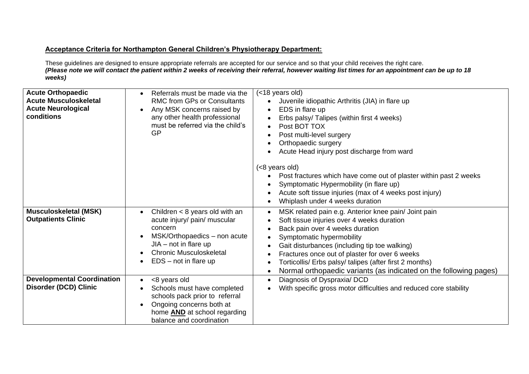## **Acceptance Criteria for Northampton General Children's Physiotherapy Department:**

These guidelines are designed to ensure appropriate referrals are accepted for our service and so that your child receives the right care. *(Please note we will contact the patient within 2 weeks of receiving their referral, however waiting list times for an appointment can be up to 18 weeks)*

| <b>Acute Orthopaedic</b><br><b>Acute Musculoskeletal</b><br><b>Acute Neurological</b><br>conditions | Referrals must be made via the<br><b>RMC from GPs or Consultants</b><br>Any MSK concerns raised by<br>any other health professional<br>must be referred via the child's<br>GP                       | (<18 years old)<br>Juvenile idiopathic Arthritis (JIA) in flare up<br>EDS in flare up<br>Erbs palsy/ Talipes (within first 4 weeks)<br>Post BOT TOX<br>Post multi-level surgery<br>Orthopaedic surgery<br>Acute Head injury post discharge from ward<br>(<8 years old)<br>Post fractures which have come out of plaster within past 2 weeks<br>Symptomatic Hypermobility (in flare up)<br>Acute soft tissue injuries (max of 4 weeks post injury)<br>Whiplash under 4 weeks duration |
|-----------------------------------------------------------------------------------------------------|-----------------------------------------------------------------------------------------------------------------------------------------------------------------------------------------------------|--------------------------------------------------------------------------------------------------------------------------------------------------------------------------------------------------------------------------------------------------------------------------------------------------------------------------------------------------------------------------------------------------------------------------------------------------------------------------------------|
| <b>Musculoskeletal (MSK)</b><br><b>Outpatients Clinic</b>                                           | Children $<$ 8 years old with an<br>acute injury/ pain/ muscular<br>concern<br>MSK/Orthopaedics - non acute<br>$JIA - not$ in flare up<br><b>Chronic Musculoskeletal</b><br>$EDS - not in flare up$ | MSK related pain e.g. Anterior knee pain/ Joint pain<br>$\bullet$<br>Soft tissue injuries over 4 weeks duration<br>Back pain over 4 weeks duration<br>Symptomatic hypermobility<br>Gait disturbances (including tip toe walking)<br>Fractures once out of plaster for over 6 weeks<br>Torticollis/ Erbs palsy/ talipes (after first 2 months)<br>Normal orthopaedic variants (as indicated on the following pages)<br>$\bullet$                                                      |
| <b>Developmental Coordination</b><br><b>Disorder (DCD) Clinic</b>                                   | <8 years old<br>$\bullet$<br>Schools must have completed<br>schools pack prior to referral<br>Ongoing concerns both at<br>home <b>AND</b> at school regarding<br>balance and coordination           | Diagnosis of Dyspraxia/ DCD<br>$\bullet$<br>With specific gross motor difficulties and reduced core stability                                                                                                                                                                                                                                                                                                                                                                        |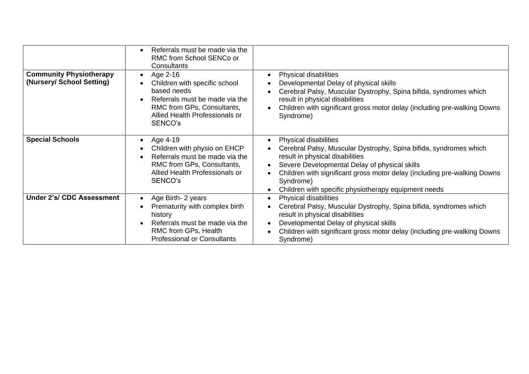|                                                             | Referrals must be made via the<br>RMC from School SENCo or<br>Consultants                                                                                                          |                                                                                                                                                                                                                                                                                                                                 |
|-------------------------------------------------------------|------------------------------------------------------------------------------------------------------------------------------------------------------------------------------------|---------------------------------------------------------------------------------------------------------------------------------------------------------------------------------------------------------------------------------------------------------------------------------------------------------------------------------|
| <b>Community Physiotherapy</b><br>(Nursery/ School Setting) | Age 2-16<br>$\bullet$<br>Children with specific school<br>based needs<br>Referrals must be made via the<br>RMC from GPs, Consultants,<br>Allied Health Professionals or<br>SENCO's | Physical disabilities<br>Developmental Delay of physical skills<br>Cerebral Palsy, Muscular Dystrophy, Spina bifida, syndromes which<br>result in physical disabilities<br>Children with significant gross motor delay (including pre-walking Downs<br>Syndrome)                                                                |
| <b>Special Schools</b>                                      | Age 4-19<br>Children with physio on EHCP<br>Referrals must be made via the<br>RMC from GPs, Consultants,<br>Allied Health Professionals or<br>SENCO's                              | Physical disabilities<br>Cerebral Palsy, Muscular Dystrophy, Spina bifida, syndromes which<br>result in physical disabilities<br>Severe Developmental Delay of physical skills<br>Children with significant gross motor delay (including pre-walking Downs<br>Syndrome)<br>Children with specific physiotherapy equipment needs |
| <b>Under 2's/ CDC Assessment</b>                            | Age Birth- 2 years<br>$\bullet$<br>Prematurity with complex birth<br>history<br>Referrals must be made via the<br>RMC from GPs, Health<br><b>Professional or Consultants</b>       | Physical disabilities<br>Cerebral Palsy, Muscular Dystrophy, Spina bifida, syndromes which<br>result in physical disabilities<br>Developmental Delay of physical skills<br>Children with significant gross motor delay (including pre-walking Downs<br>Syndrome)                                                                |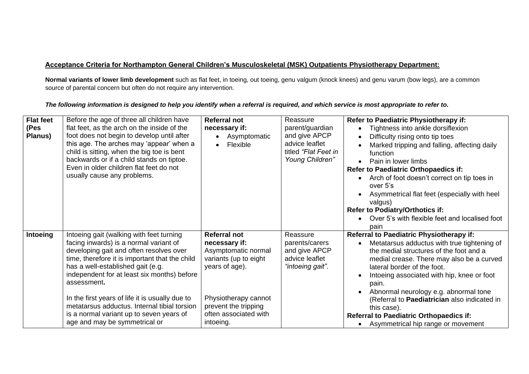## **Acceptance Criteria for Northampton General Children's Musculoskeletal (MSK) Outpatients Physiotherapy Department:**

**Normal variants of lower limb development** such as flat feet, in toeing, out toeing, genu valgum (knock knees) and genu varum (bow legs), are a common source of parental concern but often do not require any intervention.

| <b>Flat feet</b><br>(Pes<br>Planus) | Before the age of three all children have<br>flat feet, as the arch on the inside of the<br>foot does not begin to develop until after<br>this age. The arches may 'appear' when a<br>child is sitting, when the big toe is bent<br>backwards or if a child stands on tiptoe.<br>Even in older children flat feet do not<br>usually cause any problems.                                                                                                            | <b>Referral not</b><br>necessary if:<br>Asymptomatic<br>Flexible<br>$\bullet$                                                                                                                | Reassure<br>parent/guardian<br>and give APCP<br>advice leaflet<br>titled "Flat Feet in<br>Young Children" | Refer to Paediatric Physiotherapy if:<br>Tightness into ankle dorsiflexion<br>Difficulty rising onto tip toes<br>Marked tripping and falling, affecting daily<br>function<br>Pain in lower limbs<br>$\bullet$<br><b>Refer to Paediatric Orthopaedics if:</b><br>Arch of foot doesn't correct on tip toes in<br>over 5's<br>Asymmetrical flat feet (especially with heel<br>valgus)<br><b>Refer to Podiatry/Orthotics if:</b><br>Over 5's with flexible feet and localised foot<br>pain |
|-------------------------------------|--------------------------------------------------------------------------------------------------------------------------------------------------------------------------------------------------------------------------------------------------------------------------------------------------------------------------------------------------------------------------------------------------------------------------------------------------------------------|----------------------------------------------------------------------------------------------------------------------------------------------------------------------------------------------|-----------------------------------------------------------------------------------------------------------|----------------------------------------------------------------------------------------------------------------------------------------------------------------------------------------------------------------------------------------------------------------------------------------------------------------------------------------------------------------------------------------------------------------------------------------------------------------------------------------|
| Intoeing                            | Intoeing gait (walking with feet turning<br>facing inwards) is a normal variant of<br>developing gait and often resolves over<br>time, therefore it is important that the child<br>has a well-established gait (e.g.<br>independent for at least six months) before<br>assessment.<br>In the first years of life it is usually due to<br>metatarsus adductus. Internal tibial torsion<br>is a normal variant up to seven years of<br>age and may be symmetrical or | <b>Referral not</b><br>necessary if:<br>Asymptomatic normal<br>variants (up to eight<br>years of age).<br>Physiotherapy cannot<br>prevent the tripping<br>often associated with<br>intoeing. | Reassure<br>parents/carers<br>and give APCP<br>advice leaflet<br>"intoeing gait".                         | Referral to Paediatric Physiotherapy if:<br>Metatarsus adductus with true tightening of<br>the medial structures of the foot and a<br>medial crease. There may also be a curved<br>lateral border of the foot.<br>Intoeing associated with hip, knee or foot<br>pain.<br>Abnormal neurology e.g. abnormal tone<br>(Referral to Paediatrician also indicated in<br>this case).<br><b>Referral to Paediatric Orthopaedics if:</b><br>• Asymmetrical hip range or movement                |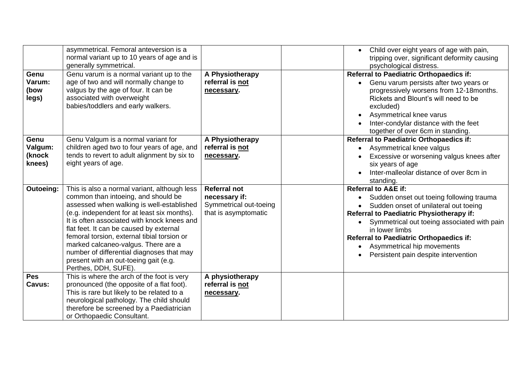|                                     | asymmetrical. Femoral anteversion is a<br>normal variant up to 10 years of age and is<br>generally symmetrical.                                                                                                                                                                                                                                                                                                                                                               |                                                                                        | Child over eight years of age with pain,<br>tripping over, significant deformity causing<br>psychological distress.                                                                                                                                                                                                                                             |
|-------------------------------------|-------------------------------------------------------------------------------------------------------------------------------------------------------------------------------------------------------------------------------------------------------------------------------------------------------------------------------------------------------------------------------------------------------------------------------------------------------------------------------|----------------------------------------------------------------------------------------|-----------------------------------------------------------------------------------------------------------------------------------------------------------------------------------------------------------------------------------------------------------------------------------------------------------------------------------------------------------------|
| Genu<br>Varum:<br>(bow<br>legs)     | Genu varum is a normal variant up to the<br>age of two and will normally change to<br>valgus by the age of four. It can be<br>associated with overweight<br>babies/toddlers and early walkers.                                                                                                                                                                                                                                                                                | A Physiotherapy<br>referral is not<br>necessary.                                       | <b>Referral to Paediatric Orthopaedics if:</b><br>Genu varum persists after two years or<br>progressively worsens from 12-18months.<br>Rickets and Blount's will need to be<br>excluded)<br>Asymmetrical knee varus<br>Inter-condylar distance with the feet<br>together of over 6cm in standing.                                                               |
| Genu<br>Valgum:<br>(knock<br>knees) | Genu Valgum is a normal variant for<br>children aged two to four years of age, and<br>tends to revert to adult alignment by six to<br>eight years of age.                                                                                                                                                                                                                                                                                                                     | A Physiotherapy<br>referral is not<br>necessary.                                       | <b>Referral to Paediatric Orthopaedics if:</b><br>Asymmetrical knee valgus<br>Excessive or worsening valgus knees after<br>six years of age<br>Inter-malleolar distance of over 8cm in<br>standing.                                                                                                                                                             |
| Outoeing:                           | This is also a normal variant, although less<br>common than intoeing, and should be<br>assessed when walking is well-established<br>(e.g. independent for at least six months).<br>It is often associated with knock knees and<br>flat feet. It can be caused by external<br>femoral torsion, external tibial torsion or<br>marked calcaneo-valgus. There are a<br>number of differential diagnoses that may<br>present with an out-toeing gait (e.g.<br>Perthes, DDH, SUFE). | <b>Referral not</b><br>necessary if:<br>Symmetrical out-toeing<br>that is asymptomatic | <b>Referral to A&amp;E if:</b><br>Sudden onset out toeing following trauma<br>Sudden onset of unilateral out toeing<br><b>Referral to Paediatric Physiotherapy if:</b><br>Symmetrical out toeing associated with pain<br>in lower limbs<br><b>Referral to Paediatric Orthopaedics if:</b><br>Asymmetrical hip movements<br>Persistent pain despite intervention |
| <b>Pes</b><br>Cavus:                | This is where the arch of the foot is very<br>pronounced (the opposite of a flat foot).<br>This is rare but likely to be related to a<br>neurological pathology. The child should<br>therefore be screened by a Paediatrician<br>or Orthopaedic Consultant.                                                                                                                                                                                                                   | A physiotherapy<br>referral is not<br>necessary.                                       |                                                                                                                                                                                                                                                                                                                                                                 |